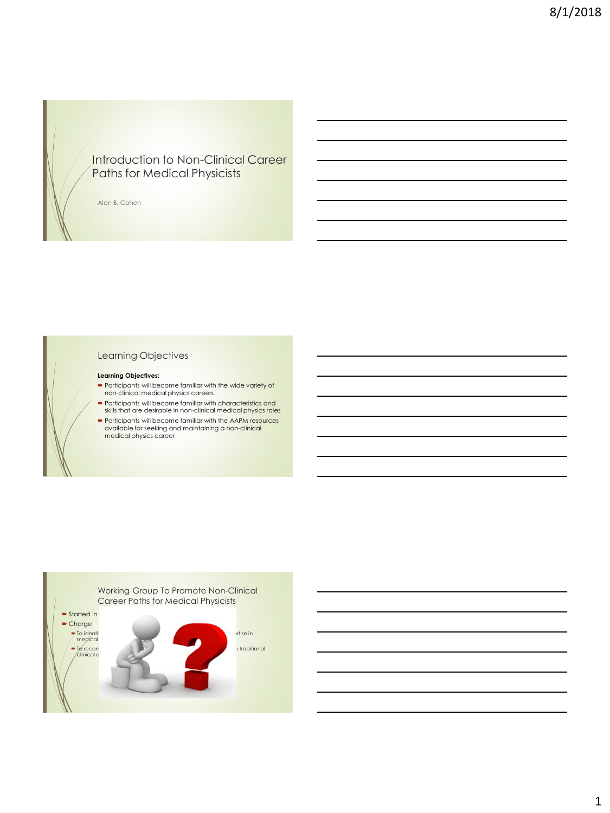# Introduction to Non-Clinical Career Paths for Medical Physicists

Alan B. Cohen

### Learning Objectives

#### **Learning Objectives:**

- Participants will become familiar with the wide variety of non-clinical medical physics careers
- Participants will become familiar with characteristics and skills that are desirable in non-clinical medical physics roles Participants will become familiar with the AAPM resources
- available for seeking and maintaining a non-clinical medical physics career



## 1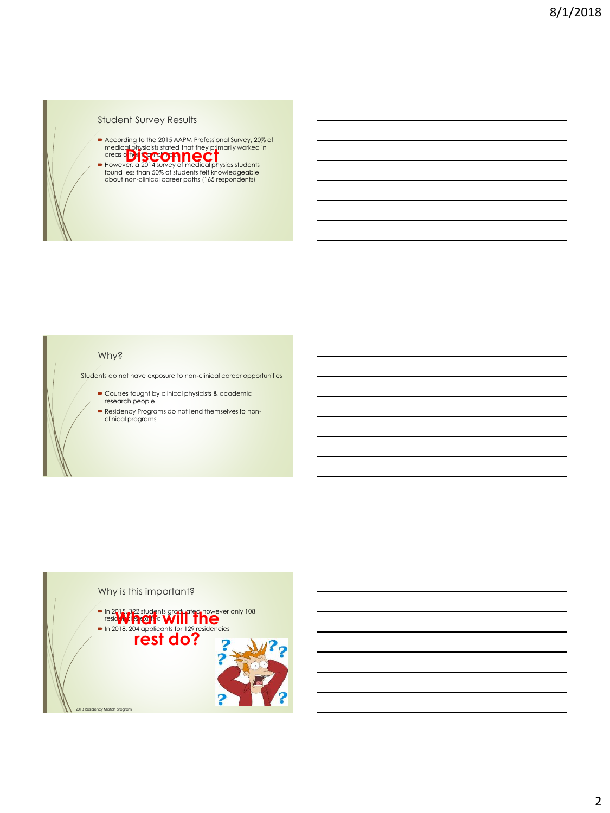#### Student Survey Results

- According to the 2015 AAPM Professional Survey, 20% of<br>medical physicists stated that they primarily worked in<br>areas other than clinical clinical clinical clinical clinical clinical clinical clinical clinical clinical cl **Disconnect**
- However, a 2014 survey of medical physics students found less than 50% of students felt knowledgeable about non-clinical career paths (165 respondents)

#### Why?

Students do not have exposure to non-clinical career opportunities

- Courses taught by clinical physicists & academic research people
- Residency Programs do not lend themselves to non-clinical programs

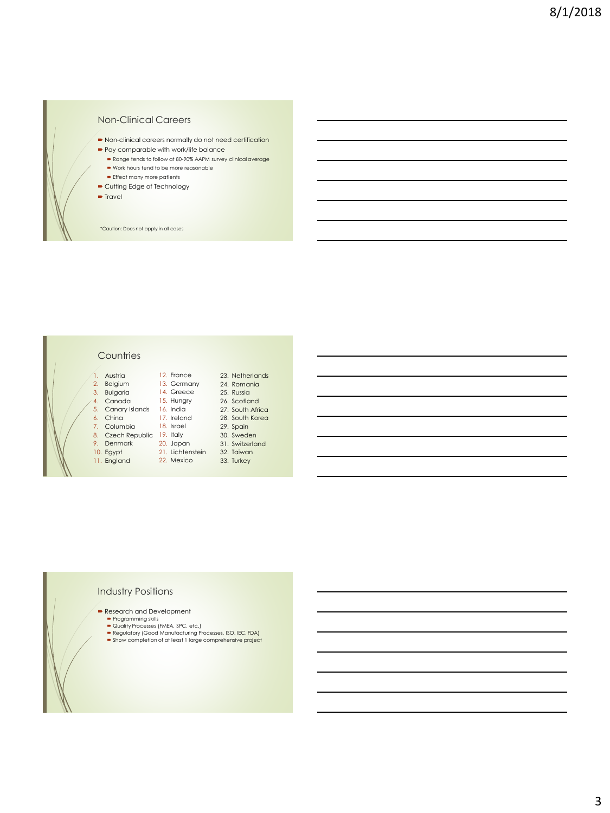### Non-Clinical Careers

- Non-clinical careers normally do not need certification
- Pay comparable with work/life balance
	- Range tends to follow at 80-90% AAPM survey clinical average Work hours tend to be more reasonable
- **Effect many more patients**
- Cutting Edge of Technology
- $\blacksquare$  Travel

\*Caution: Does not apply in all cases

#### **Countries**

|    | Austria           | 12. France       | 23. Netherlands  |
|----|-------------------|------------------|------------------|
| 2. | Belgium           | 13. Germany      | 24. Romania      |
| 3. | <b>Bulgaria</b>   | 14. Greece       | 25. Russia       |
| 4. | Canada            | 15. Hungry       | 26. Scotland     |
|    | 5. Canary Islands | 16. India        | 27. South Africa |
| 6. | China             | 17. Ireland      | 28. South Korea  |
|    | 7. Columbia       | 18. Israel       | 29. Spain        |
| 8. | Czech Republic    | 19. Italy        | 30. Sweden       |
| 9. | Denmark           | 20. Japan        | 31. Switzerland  |
|    | 10. Egypt         | 21. Lichtenstein | 32. Taiwan       |
|    | 11. England       | 22. Mexico       | 33. Turkey       |
|    |                   |                  |                  |

### Industry Positions

- Research and Development
	-
	-
- Programming skills<br>■ Quality Processes (FMEA, SPC, etc.)<br>■ Regulatory (Good Manufacturing Processes, ISO, IEC, FDA)<br>■ Show completion of at least 1 large comprehensive project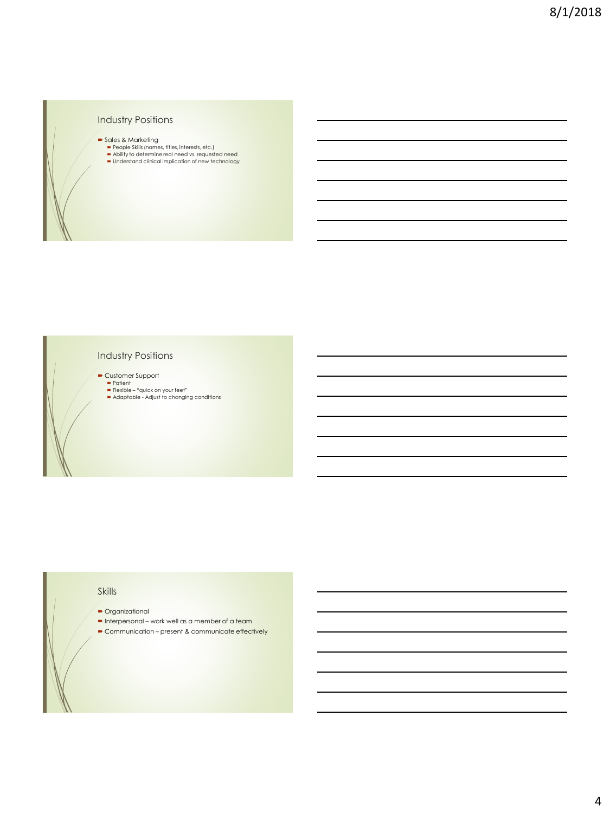### Industry Positions

- 
- Sales & Marketing<br>
People Skills (names, titles, interests, etc.)<br>
Ability to determine real need vs. requested need<br>
Duderstand clinical implication of new technology

### Industry Positions

Customer Support

- Patient Flexible "quick on your feet" Adaptable Adjust to changing conditions
- 

#### Skills

- Organizational
- Interpersonal work well as a member of a team
- Communication present & communicate effectively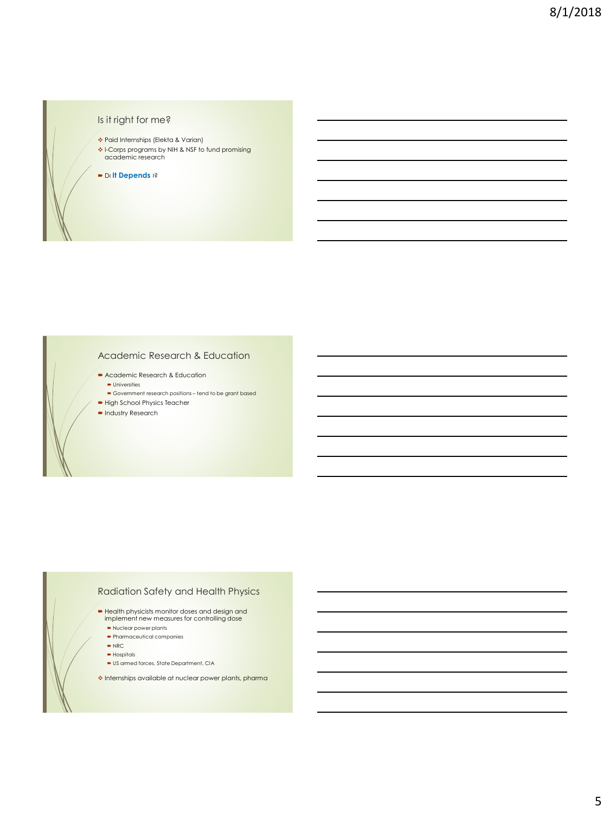### Is it right for me?

- ❖ Paid Internships (Elekta & Varian)
- ❖ I-Corps programs by NIH & NSF to fund promising academic research

**PD** It Depends  $\sqrt{2}$ 

#### Academic Research & Education

- Academic Research & Education **Universities**
- Government research positions tend to be grant based
- High School Physics Teacher
- **Industry Research**

#### Radiation Safety and Health Physics

- Health physicists monitor doses and design and implement new measures for controlling dose
- Nuclear power plants
- Pharmaceutical companies
- $\blacksquare$  NRC
- $\blacktriangleright$  Hospitals
- US armed forces, State Department, CIA
- ❖ Internships available at nuclear power plants, pharma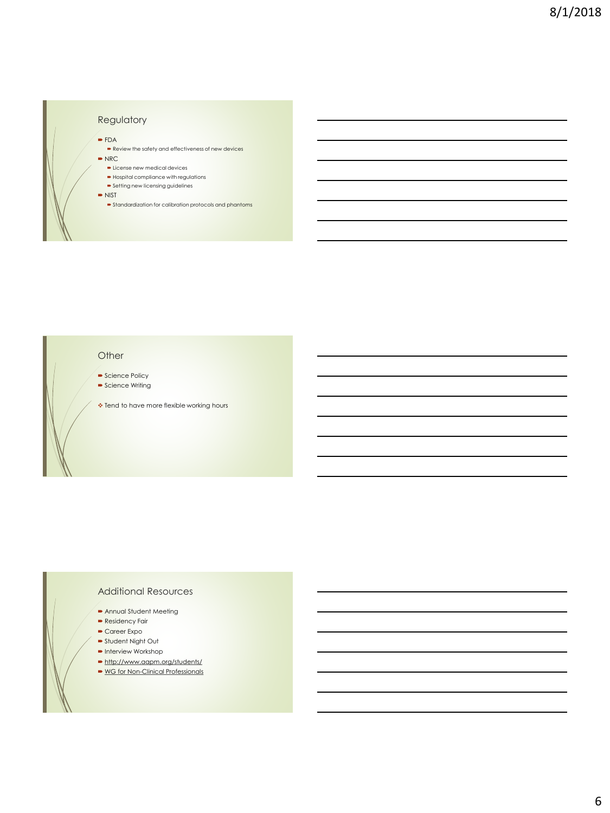#### **Regulatory**

FDA

- Review the safety and effectiveness of new devices  $\blacksquare$  NRC
	- License new medical devices
	- $\blacktriangleright$  Hospital compliance with regulations
	- $\blacktriangleright$  Setting new licensing guidelines
- $\blacksquare$  NIST
	- $\blacktriangleright$  Standardization for calibration protocols and phantoms

### **Other**

- Science Policy
- Science Writing
- ❖ Tend to have more flexible working hours

#### Additional Resources

- Annual Student Meeting
- Residency Fair
- Career Expo
- Student Night Out
- **Interview Workshop**
- http://www.aapm.org/students/
- WG for Non-Clinical Professionals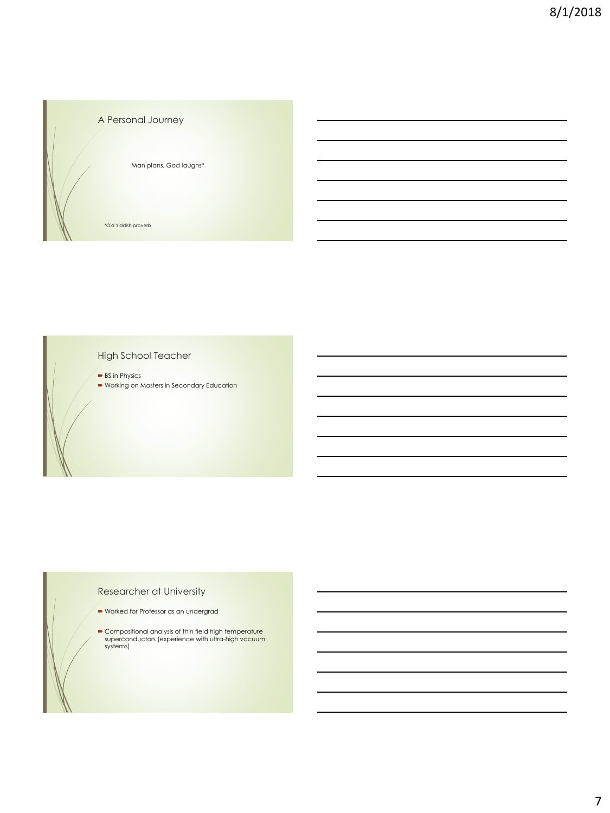### A Personal Journey

Man plans, God laughs\*

\*Old Yiddish proverb

### High School Teacher

BS in Physics Working on Masters in Secondary Education

#### Researcher at University

Worked for Professor as an undergrad

Compositional analysis of thin field high temperature superconductors (experience with ultra-high vacuum systems)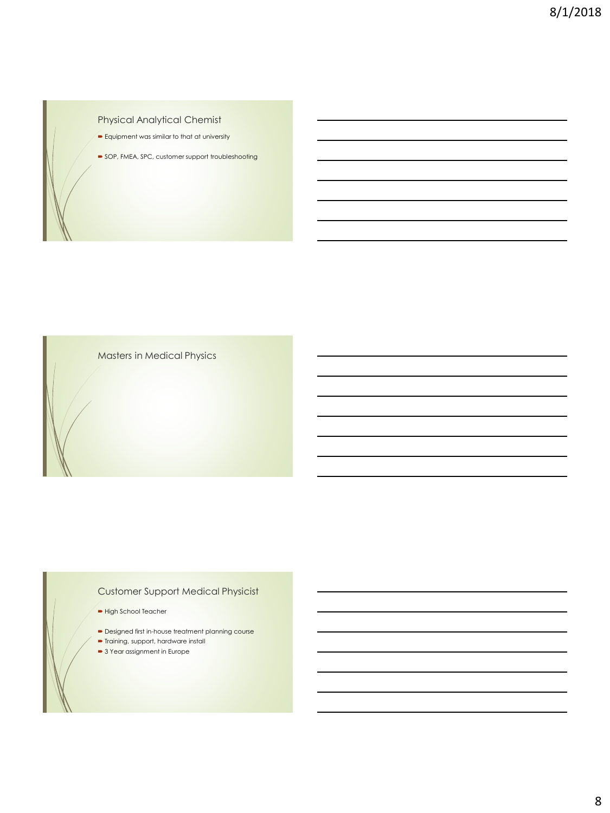### Physical Analytical Chemist

- **Equipment was similar to that at university**
- SOP, FMEA, SPC, customer support troubleshooting

Masters in Medical Physics

### Customer Support Medical Physicist

 $\blacktriangleright$  High School Teacher

- **Designed first in-house treatment planning course**
- Training, support, hardware install
- 3 Year assignment in Europe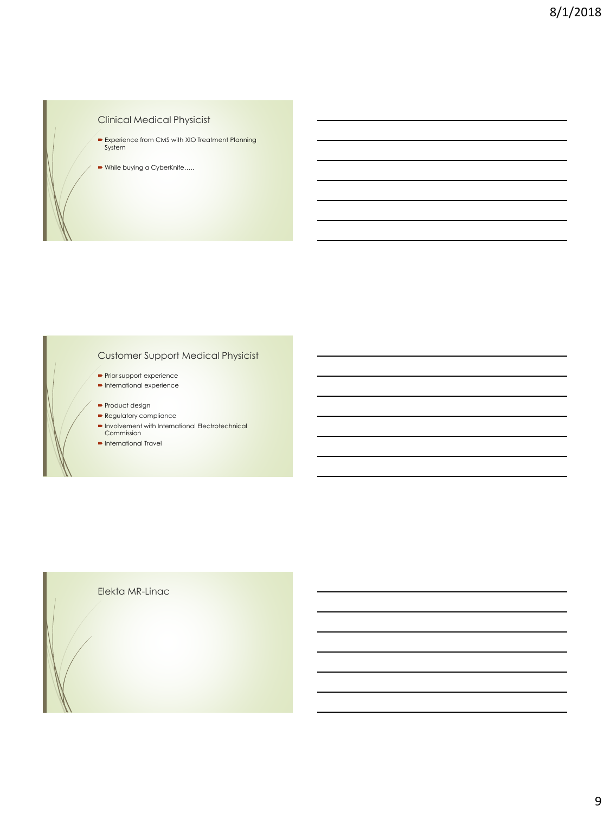### Clinical Medical Physicist

- Experience from CMS with XIO Treatment Planning System
- While buying a CyberKnife…..

### Customer Support Medical Physicist

- **Prior support experience**
- $\blacksquare$ International experience
- Product design
- **Regulatory compliance**
- Involvement with International Electrotechnical Commission
- International Travel

Elekta MR-Linac